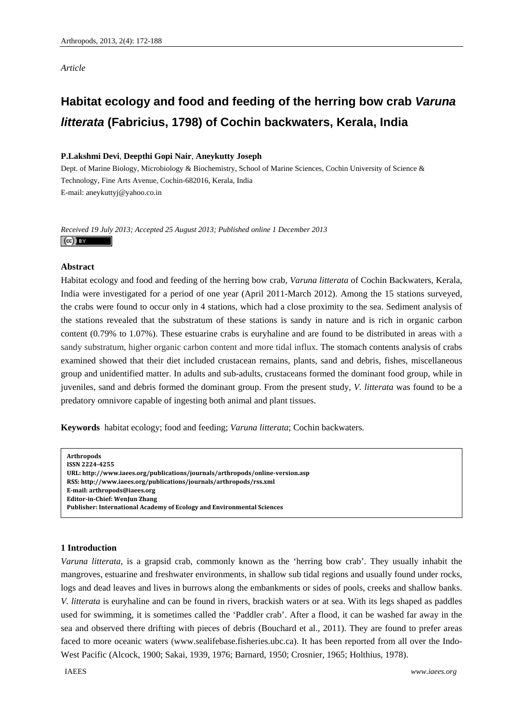*Article* 

# **Habitat ecology and food and feeding of the herring bow crab** *Varuna litterata* **(Fabricius, 1798) of Cochin backwaters, Kerala, India**

# **P.Lakshmi Devi**, **Deepthi Gopi Nair**, **Aneykutty Joseph**

Dept. of Marine Biology, Microbiology & Biochemistry, School of Marine Sciences, Cochin University of Science & Technology, Fine Arts Avenue, Cochin-682016, Kerala, India E-mail: aneykuttyj@yahoo.co.in

*Received 19 July 2013; Accepted 25 August 2013; Published online 1 December 2013*   $(cc)$  BY

# **Abstract**

Habitat ecology and food and feeding of the herring bow crab, *Varuna litterata* of Cochin Backwaters, Kerala, India were investigated for a period of one year (April 2011-March 2012). Among the 15 stations surveyed, the crabs were found to occur only in 4 stations, which had a close proximity to the sea. Sediment analysis of the stations revealed that the substratum of these stations is sandy in nature and is rich in organic carbon content (0.79% to 1.07%). These estuarine crabs is euryhaline and are found to be distributed in areas with a sandy substratum, higher organic carbon content and more tidal influx. The stomach contents analysis of crabs examined showed that their diet included crustacean remains, plants, sand and debris, fishes, miscellaneous group and unidentified matter. In adults and sub-adults, crustaceans formed the dominant food group, while in juveniles, sand and debris formed the dominant group. From the present study, *V. litterata* was found to be a predatory omnivore capable of ingesting both animal and plant tissues.

**Keywords** habitat ecology; food and feeding; *Varuna litterata*; Cochin backwaters*.*

**Arthropods ISSN 22244255 URL: http://www.iaees.org/publications/journals/arthropods/onlineversion.asp RSS: http://www.iaees.org/publications/journals/arthropods/rss.xml Email: arthropods@iaees.org EditorinChief: WenJun Zhang Publisher: International Academy of Ecology and Environmental Sciences**

# **1 Introduction**

*Varuna litterata*, is a grapsid crab, commonly known as the 'herring bow crab'. They usually inhabit the mangroves, estuarine and freshwater environments, in shallow sub tidal regions and usually found under rocks, logs and dead leaves and lives in burrows along the embankments or sides of pools, creeks and shallow banks. *V. litterata* is euryhaline and can be found in rivers, brackish waters or at sea. With its legs shaped as paddles used for swimming, it is sometimes called the 'Paddler crab'. After a flood, it can be washed far away in the sea and observed there drifting with pieces of debris (Bouchard et al.*,* 2011). They are found to prefer areas faced to more oceanic waters (www.sealifebase.fisheries.ubc.ca). It has been reported from all over the Indo-West Pacific (Alcock, 1900; Sakai, 1939, 1976; Barnard, 1950; Crosnier, 1965; Holthius, 1978).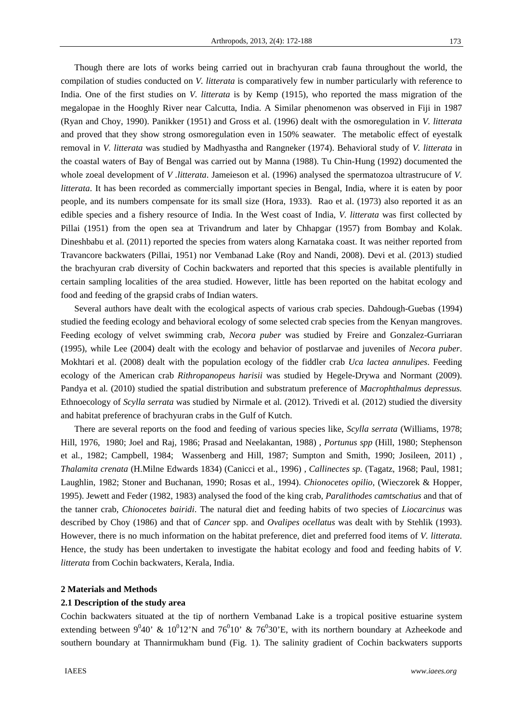Though there are lots of works being carried out in brachyuran crab fauna throughout the world, the compilation of studies conducted on *V. litterata* is comparatively few in number particularly with reference to India. One of the first studies on *V. litterata* is by Kemp (1915), who reported the mass migration of the megalopae in the Hooghly River near Calcutta, India. A Similar phenomenon was observed in Fiji in 1987 (Ryan and Choy, 1990). Panikker (1951) and Gross et al. (1996) dealt with the osmoregulation in *V. litterata*  and proved that they show strong osmoregulation even in 150% seawater*.* The metabolic effect of eyestalk removal in *V. litterata* was studied by Madhyastha and Rangneker (1974). Behavioral study of *V. litterata* in the coastal waters of Bay of Bengal was carried out by Manna (1988). Tu Chin-Hung (1992) documented the whole zoeal development of *V .litterata*. Jameieson et al. (1996) analysed the spermatozoa ultrastrucure of *V*. *litterata*. It has been recorded as commercially important species in Bengal, India, where it is eaten by poor people, and its numbers compensate for its small size (Hora, 1933). Rao et al. (1973) also reported it as an edible species and a fishery resource of India. In the West coast of India, *V. litterata* was first collected by Pillai (1951) from the open sea at Trivandrum and later by Chhapgar (1957) from Bombay and Kolak. Dineshbabu et al. (2011) reported the species from waters along Karnataka coast. It was neither reported from Travancore backwaters (Pillai, 1951) nor Vembanad Lake (Roy and Nandi, 2008). Devi et al. (2013) studied the brachyuran crab diversity of Cochin backwaters and reported that this species is available plentifully in certain sampling localities of the area studied. However, little has been reported on the habitat ecology and food and feeding of the grapsid crabs of Indian waters.

Several authors have dealt with the ecological aspects of various crab species. Dahdough-Guebas (1994) studied the feeding ecology and behavioral ecology of some selected crab species from the Kenyan mangroves. Feeding ecology of velvet swimming crab, *Necora puber* was studied by Freire and Gonzalez-Gurriaran (1995), while Lee (2004) dealt with the ecology and behavior of postlarvae and juveniles of *Necora puber*. Mokhtari et al. (2008) dealt with the population ecology of the fiddler crab *Uca lactea annulipes*. Feeding ecology of the American crab *Rithropanopeus harisii* was studied by Hegele-Drywa and Normant (2009). Pandya et al*.* (2010) studied the spatial distribution and substratum preference of *Macrophthalmus depressus.*  Ethnoecology of *Scylla serrata* was studied by Nirmale et al*.* (2012). Trivedi et al*.* (2012) studied the diversity and habitat preference of brachyuran crabs in the Gulf of Kutch.

There are several reports on the food and feeding of various species like, *Scylla serrata* (Williams, 1978; Hill, 1976, 1980; Joel and Raj, 1986; Prasad and Neelakantan, 1988) , *Portunus spp* (Hill, 1980; Stephenson et al*.,* 1982; Campbell, 1984; Wassenberg and Hill, 1987; Sumpton and Smith, 1990; Josileen, 2011) , *Thalamita crenata* (H.Milne Edwards 1834) (Canicci et al., 1996) , *Callinectes sp.* (Tagatz, 1968; Paul, 1981; Laughlin, 1982; Stoner and Buchanan, 1990; Rosas et al., 1994). *Chionocetes opilio*, (Wieczorek & Hopper, 1995). Jewett and Feder (1982, 1983) analysed the food of the king crab, *Paralithodes camtschatius* and that of the tanner crab, *Chionocetes bairidi*. The natural diet and feeding habits of two species of *Liocarcinus* was described by Choy (1986) and that of *Cancer* spp. and *Ovalipes ocellatus* was dealt with by Stehlik (1993). However, there is no much information on the habitat preference, diet and preferred food items of *V. litterata*. Hence, the study has been undertaken to investigate the habitat ecology and food and feeding habits of *V. litterata* from Cochin backwaters, Kerala, India.

# **2 Materials and Methods**

## **2.1 Description of the study area**

Cochin backwaters situated at the tip of northern Vembanad Lake is a tropical positive estuarine system extending between  $9^0 40$ ' &  $10^0 12$ 'N and  $76^0 10$ ' &  $76^0 30$ 'E, with its northern boundary at Azheekode and southern boundary at Thannirmukham bund (Fig. 1). The salinity gradient of Cochin backwaters supports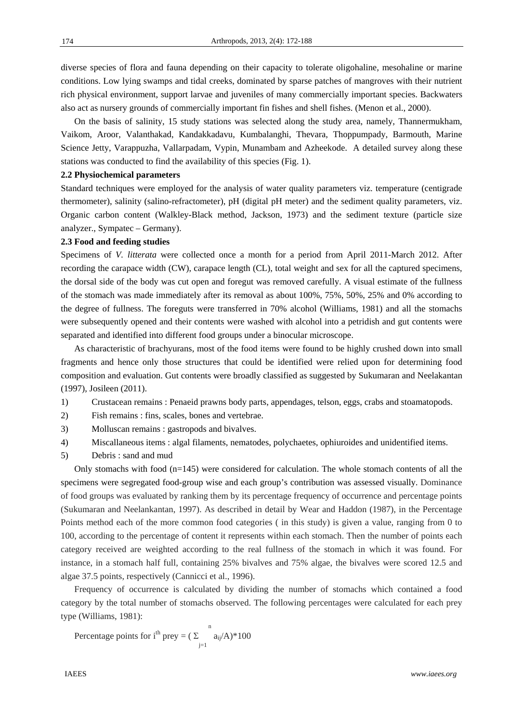174

diverse species of flora and fauna depending on their capacity to tolerate oligohaline, mesohaline or marine conditions. Low lying swamps and tidal creeks, dominated by sparse patches of mangroves with their nutrient rich physical environment, support larvae and juveniles of many commercially important species. Backwaters also act as nursery grounds of commercially important fin fishes and shell fishes. (Menon et al., 2000).

On the basis of salinity, 15 study stations was selected along the study area, namely, Thannermukham, Vaikom, Aroor, Valanthakad, Kandakkadavu, Kumbalanghi, Thevara, Thoppumpady, Barmouth, Marine Science Jetty, Varappuzha, Vallarpadam, Vypin, Munambam and Azheekode. A detailed survey along these stations was conducted to find the availability of this species (Fig. 1).

## **2.2 Physiochemical parameters**

Standard techniques were employed for the analysis of water quality parameters viz. temperature (centigrade thermometer), salinity (salino-refractometer), pH (digital pH meter) and the sediment quality parameters, viz. Organic carbon content (Walkley-Black method, Jackson, 1973) and the sediment texture (particle size analyzer., Sympatec – Germany).

# **2.3 Food and feeding studies**

Specimens of *V. litterata* were collected once a month for a period from April 2011-March 2012. After recording the carapace width (CW), carapace length (CL), total weight and sex for all the captured specimens, the dorsal side of the body was cut open and foregut was removed carefully. A visual estimate of the fullness of the stomach was made immediately after its removal as about 100%, 75%, 50%, 25% and 0% according to the degree of fullness. The foreguts were transferred in 70% alcohol (Williams, 1981) and all the stomachs were subsequently opened and their contents were washed with alcohol into a petridish and gut contents were separated and identified into different food groups under a binocular microscope.

As characteristic of brachyurans, most of the food items were found to be highly crushed down into small fragments and hence only those structures that could be identified were relied upon for determining food composition and evaluation. Gut contents were broadly classified as suggested by Sukumaran and Neelakantan (1997), Josileen (2011).

- 1) Crustacean remains : Penaeid prawns body parts, appendages, telson, eggs, crabs and stoamatopods.
- 2) Fish remains : fins, scales, bones and vertebrae.
- 3) Molluscan remains : gastropods and bivalves.
- 4) Miscallaneous items : algal filaments, nematodes, polychaetes, ophiuroides and unidentified items.
- 5) Debris : sand and mud

Only stomachs with food  $(n=145)$  were considered for calculation. The whole stomach contents of all the specimens were segregated food-group wise and each group's contribution was assessed visually. Dominance of food groups was evaluated by ranking them by its percentage frequency of occurrence and percentage points (Sukumaran and Neelankantan, 1997). As described in detail by Wear and Haddon (1987), in the Percentage Points method each of the more common food categories ( in this study) is given a value, ranging from 0 to 100, according to the percentage of content it represents within each stomach. Then the number of points each category received are weighted according to the real fullness of the stomach in which it was found. For instance, in a stomach half full, containing 25% bivalves and 75% algae, the bivalves were scored 12.5 and algae 37.5 points, respectively (Cannicci et al., 1996).

Frequency of occurrence is calculated by dividing the number of stomachs which contained a food category by the total number of stomachs observed. The following percentages were calculated for each prey type (Williams, 1981):

Percentage points for 
$$
i^{th}
$$
 prey =  $(\sum_{j=1}^{n} a_{ij}/A)^*100$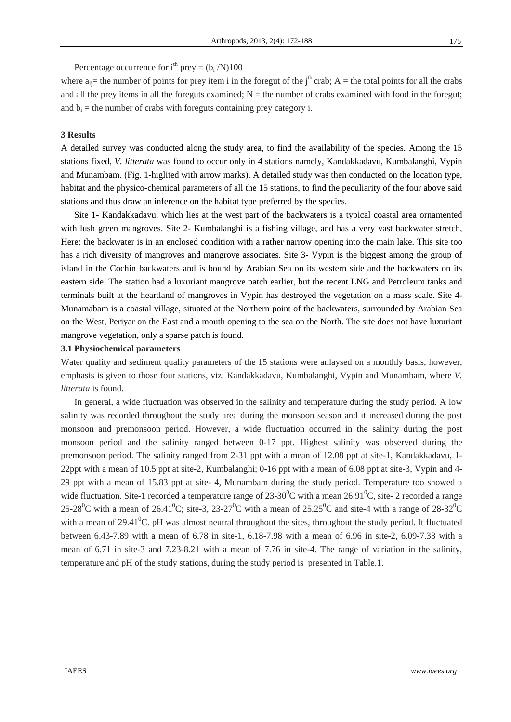Percentage occurrence for  $i<sup>th</sup>$  prey = (b<sub>i</sub> /N)100

where  $a_{ii}$  the number of points for prey item i in the foregut of the j<sup>th</sup> crab; A = the total points for all the crabs and all the prey items in all the foreguts examined;  $N =$  the number of crabs examined with food in the foregut; and  $b_i$  = the number of crabs with foreguts containing prey category i.

## **3 Results**

A detailed survey was conducted along the study area, to find the availability of the species. Among the 15 stations fixed, *V. litterata* was found to occur only in 4 stations namely, Kandakkadavu, Kumbalanghi, Vypin and Munambam. (Fig. 1-higlited with arrow marks). A detailed study was then conducted on the location type, habitat and the physico-chemical parameters of all the 15 stations, to find the peculiarity of the four above said stations and thus draw an inference on the habitat type preferred by the species.

Site 1- Kandakkadavu, which lies at the west part of the backwaters is a typical coastal area ornamented with lush green mangroves. Site 2- Kumbalanghi is a fishing village, and has a very vast backwater stretch, Here; the backwater is in an enclosed condition with a rather narrow opening into the main lake. This site too has a rich diversity of mangroves and mangrove associates. Site 3- Vypin is the biggest among the group of island in the Cochin backwaters and is bound by Arabian Sea on its western side and the backwaters on its eastern side. The station had a luxuriant mangrove patch earlier, but the recent LNG and Petroleum tanks and terminals built at the heartland of mangroves in Vypin has destroyed the vegetation on a mass scale. Site 4- Munamabam is a coastal village, situated at the Northern point of the backwaters, surrounded by Arabian Sea on the West, Periyar on the East and a mouth opening to the sea on the North. The site does not have luxuriant mangrove vegetation, only a sparse patch is found.

### **3.1 Physiochemical parameters**

Water quality and sediment quality parameters of the 15 stations were anlaysed on a monthly basis, however, emphasis is given to those four stations, viz. Kandakkadavu, Kumbalanghi, Vypin and Munambam, where *V. litterata* is found.

In general, a wide fluctuation was observed in the salinity and temperature during the study period. A low salinity was recorded throughout the study area during the monsoon season and it increased during the post monsoon and premonsoon period. However, a wide fluctuation occurred in the salinity during the post monsoon period and the salinity ranged between 0-17 ppt. Highest salinity was observed during the premonsoon period. The salinity ranged from 2-31 ppt with a mean of 12.08 ppt at site-1, Kandakkadavu, 1- 22ppt with a mean of 10.5 ppt at site-2, Kumbalanghi; 0-16 ppt with a mean of 6.08 ppt at site-3, Vypin and 4- 29 ppt with a mean of 15.83 ppt at site- 4, Munambam during the study period. Temperature too showed a wide fluctuation. Site-1 recorded a temperature range of  $23\text{-}30\textsuperscript{0}$ C with a mean  $26.91\textsuperscript{0}$ C, site-2 recorded a range 25-28<sup>0</sup>C with a mean of 26.41<sup>0</sup>C; site-3, 23-27<sup>0</sup>C with a mean of 25.25<sup>0</sup>C and site-4 with a range of 28-32<sup>0</sup>C with a mean of 29.41 $^0$ C. pH was almost neutral throughout the sites, throughout the study period. It fluctuated between 6.43-7.89 with a mean of 6.78 in site-1, 6.18-7.98 with a mean of 6.96 in site-2, 6.09-7.33 with a mean of 6.71 in site-3 and 7.23-8.21 with a mean of 7.76 in site-4. The range of variation in the salinity, temperature and pH of the study stations, during the study period is presented in Table.1.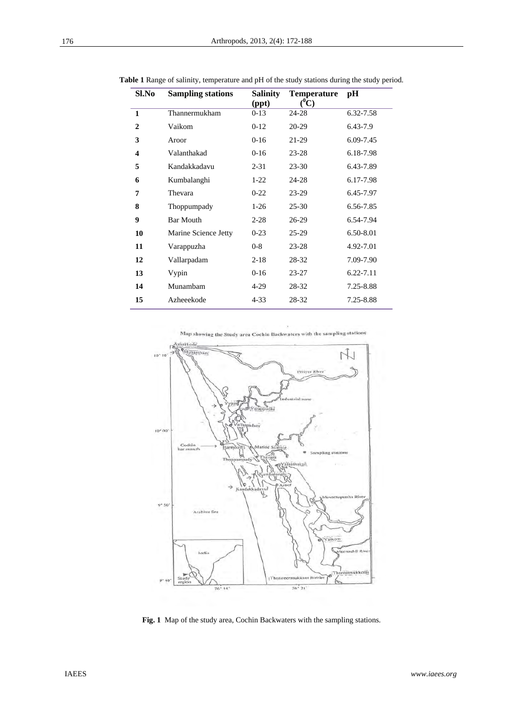| Sl.No                   | <b>Sampling stations</b> | Salinity<br>(ppt) | <b>Temperature</b><br>$(^0C)$ | pH        |
|-------------------------|--------------------------|-------------------|-------------------------------|-----------|
| $\mathbf{1}$            | Thannermukham            | $0-13$            | 24-28                         | 6.32-7.58 |
| $\overline{2}$          | Vaikom                   | $0-12$            | 20-29                         | 6.43-7.9  |
| 3                       | Aroor                    | $0-16$            | 21-29                         | 6.09-7.45 |
| $\overline{\mathbf{4}}$ | Valanthakad              | $0-16$            | $23 - 28$                     | 6.18-7.98 |
| 5                       | Kandakkadavu             | $2 - 31$          | $23 - 30$                     | 6.43-7.89 |
| 6                       | Kumbalanghi              | $1-22$            | 24-28                         | 6.17-7.98 |
| 7                       | Thevara                  | $0 - 22$          | $23-29$                       | 6.45-7.97 |
| 8                       | Thoppumpady              | $1-26$            | $25 - 30$                     | 6.56-7.85 |
| 9                       | <b>Bar Mouth</b>         | $2 - 28$          | $26-29$                       | 6.54-7.94 |
| 10                      | Marine Science Jetty     | $0-23$            | $25-29$                       | 6.50-8.01 |
| 11                      | Varappuzha               | $0 - 8$           | $23 - 28$                     | 4.92-7.01 |
| 12                      | Vallarpadam              | $2 - 18$          | 28-32                         | 7.09-7.90 |
| 13                      | Vypin                    | $0-16$            | $23 - 27$                     | 6.22-7.11 |
| 14                      | Munambam                 | $4-29$            | 28-32                         | 7.25-8.88 |
| 15                      | Azheeekode               | $4 - 33$          | 28-32                         | 7.25-8.88 |

**Table 1** Range of salinity, temperature and pH of the study stations during the study period.

Map showing the Study area Cochin Backwaters with the sampling stations



**Fig. 1** Map of the study area, Cochin Backwaters with the sampling stations.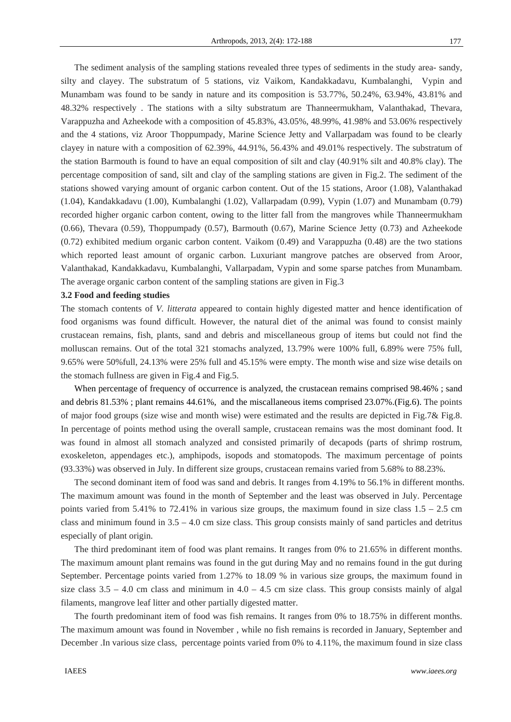The sediment analysis of the sampling stations revealed three types of sediments in the study area- sandy, silty and clayey. The substratum of 5 stations, viz Vaikom, Kandakkadavu, Kumbalanghi, Vypin and Munambam was found to be sandy in nature and its composition is 53.77%, 50.24%, 63.94%, 43.81% and 48.32% respectively . The stations with a silty substratum are Thanneermukham, Valanthakad, Thevara, Varappuzha and Azheekode with a composition of 45.83%, 43.05%, 48.99%, 41.98% and 53.06% respectively and the 4 stations, viz Aroor Thoppumpady, Marine Science Jetty and Vallarpadam was found to be clearly clayey in nature with a composition of 62.39%, 44.91%, 56.43% and 49.01% respectively. The substratum of the station Barmouth is found to have an equal composition of silt and clay (40.91% silt and 40.8% clay). The percentage composition of sand, silt and clay of the sampling stations are given in Fig.2. The sediment of the stations showed varying amount of organic carbon content. Out of the 15 stations, Aroor (1.08), Valanthakad (1.04), Kandakkadavu (1.00), Kumbalanghi (1.02), Vallarpadam (0.99), Vypin (1.07) and Munambam (0.79) recorded higher organic carbon content, owing to the litter fall from the mangroves while Thanneermukham (0.66), Thevara (0.59), Thoppumpady (0.57), Barmouth (0.67), Marine Science Jetty (0.73) and Azheekode (0.72) exhibited medium organic carbon content. Vaikom (0.49) and Varappuzha (0.48) are the two stations which reported least amount of organic carbon. Luxuriant mangrove patches are observed from Aroor, Valanthakad, Kandakkadavu, Kumbalanghi, Vallarpadam, Vypin and some sparse patches from Munambam. The average organic carbon content of the sampling stations are given in Fig.3

## **3.2 Food and feeding studies**

The stomach contents of *V. litterata* appeared to contain highly digested matter and hence identification of food organisms was found difficult. However, the natural diet of the animal was found to consist mainly crustacean remains, fish, plants, sand and debris and miscellaneous group of items but could not find the molluscan remains. Out of the total 321 stomachs analyzed, 13.79% were 100% full, 6.89% were 75% full, 9.65% were 50%full, 24.13% were 25% full and 45.15% were empty. The month wise and size wise details on the stomach fullness are given in Fig.4 and Fig.5.

When percentage of frequency of occurrence is analyzed, the crustacean remains comprised 98.46%; sand and debris 81.53% ; plant remains 44.61%, and the miscallaneous items comprised 23.07%.(Fig.6). The points of major food groups (size wise and month wise) were estimated and the results are depicted in Fig.7& Fig.8. In percentage of points method using the overall sample, crustacean remains was the most dominant food. It was found in almost all stomach analyzed and consisted primarily of decapods (parts of shrimp rostrum, exoskeleton, appendages etc.), amphipods, isopods and stomatopods. The maximum percentage of points (93.33%) was observed in July. In different size groups, crustacean remains varied from 5.68% to 88.23%.

The second dominant item of food was sand and debris. It ranges from 4.19% to 56.1% in different months. The maximum amount was found in the month of September and the least was observed in July. Percentage points varied from 5.41% to 72.41% in various size groups, the maximum found in size class  $1.5 - 2.5$  cm class and minimum found in 3.5 – 4.0 cm size class. This group consists mainly of sand particles and detritus especially of plant origin.

The third predominant item of food was plant remains. It ranges from 0% to 21.65% in different months. The maximum amount plant remains was found in the gut during May and no remains found in the gut during September. Percentage points varied from 1.27% to 18.09 % in various size groups, the maximum found in size class  $3.5 - 4.0$  cm class and minimum in  $4.0 - 4.5$  cm size class. This group consists mainly of algal filaments, mangrove leaf litter and other partially digested matter.

The fourth predominant item of food was fish remains. It ranges from 0% to 18.75% in different months. The maximum amount was found in November , while no fish remains is recorded in January, September and December .In various size class, percentage points varied from 0% to 4.11%, the maximum found in size class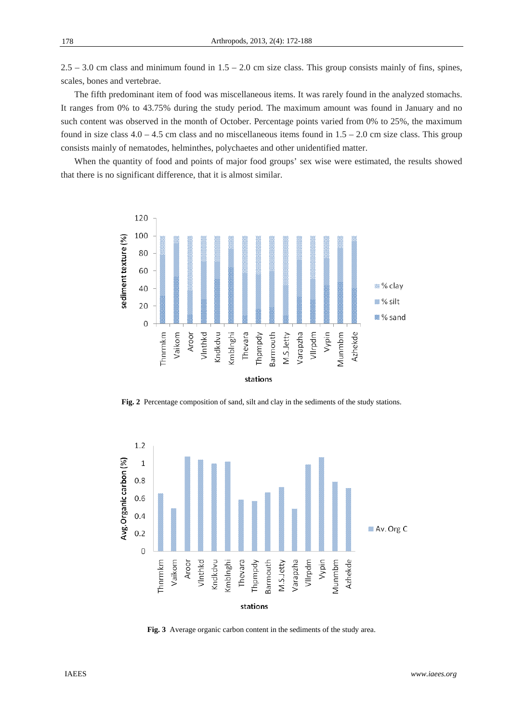$2.5 - 3.0$  cm class and minimum found in  $1.5 - 2.0$  cm size class. This group consists mainly of fins, spines, scales, bones and vertebrae.

The fifth predominant item of food was miscellaneous items. It was rarely found in the analyzed stomachs. It ranges from 0% to 43.75% during the study period. The maximum amount was found in January and no such content was observed in the month of October. Percentage points varied from 0% to 25%, the maximum found in size class  $4.0 - 4.5$  cm class and no miscellaneous items found in  $1.5 - 2.0$  cm size class. This group consists mainly of nematodes, helminthes, polychaetes and other unidentified matter.

When the quantity of food and points of major food groups' sex wise were estimated, the results showed that there is no significant difference, that it is almost similar.



**Fig. 2** Percentage composition of sand, silt and clay in the sediments of the study stations.



**Fig. 3** Average organic carbon content in the sediments of the study area.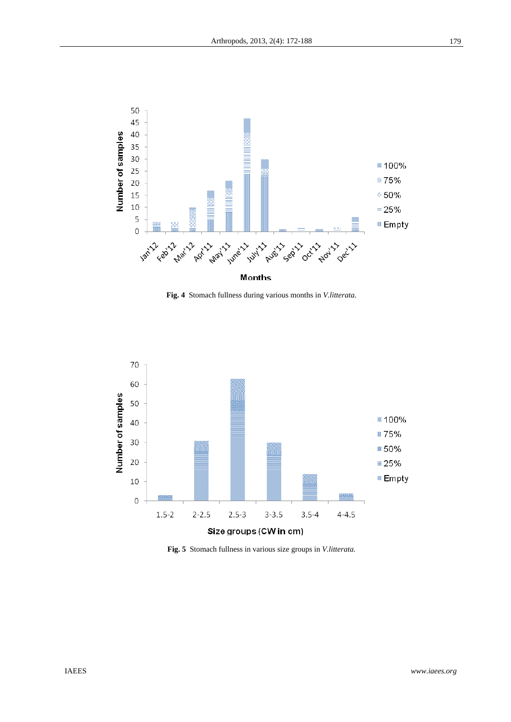

**Fig. 4** Stomach fullness during various months in *V.litterata*.



**Fig. 5** Stomach fullness in various size groups in *V.litterata.*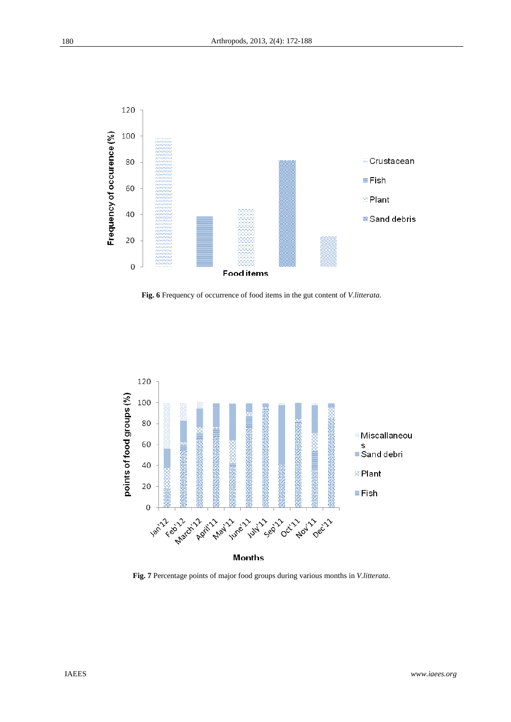

**Fig. 6** Frequency of occurrence of food items in the gut content of *V.litterata*.



**Fig. 7** Percentage points of major food groups during various months in *V.litterata*.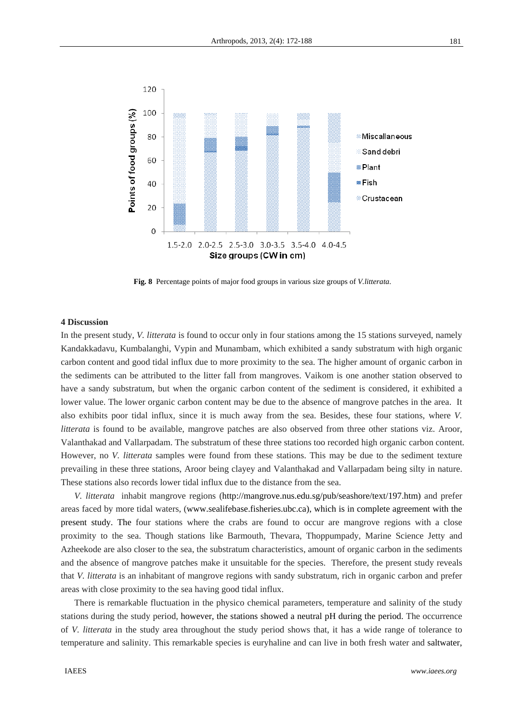

 **Fig. 8** Percentage points of major food groups in various size groups of *V.litterata*.

#### **4 Discussion**

In the present study, *V. litterata* is found to occur only in four stations among the 15 stations surveyed, namely Kandakkadavu, Kumbalanghi, Vypin and Munambam, which exhibited a sandy substratum with high organic carbon content and good tidal influx due to more proximity to the sea. The higher amount of organic carbon in the sediments can be attributed to the litter fall from mangroves. Vaikom is one another station observed to have a sandy substratum, but when the organic carbon content of the sediment is considered, it exhibited a lower value. The lower organic carbon content may be due to the absence of mangrove patches in the area. It also exhibits poor tidal influx, since it is much away from the sea. Besides, these four stations, where *V. litterata* is found to be available, mangrove patches are also observed from three other stations viz. Aroor, Valanthakad and Vallarpadam. The substratum of these three stations too recorded high organic carbon content. However, no *V. litterata* samples were found from these stations. This may be due to the sediment texture prevailing in these three stations, Aroor being clayey and Valanthakad and Vallarpadam being silty in nature. These stations also records lower tidal influx due to the distance from the sea.

*V. litterata* inhabit mangrove regions (http://mangrove.nus.edu.sg/pub/seashore/text/197.htm) and prefer areas faced by more tidal waters, (www.sealifebase.fisheries.ubc.ca), which is in complete agreement with the present study. The four stations where the crabs are found to occur are mangrove regions with a close proximity to the sea. Though stations like Barmouth, Thevara, Thoppumpady, Marine Science Jetty and Azheekode are also closer to the sea, the substratum characteristics, amount of organic carbon in the sediments and the absence of mangrove patches make it unsuitable for the species. Therefore, the present study reveals that *V. litterata* is an inhabitant of mangrove regions with sandy substratum, rich in organic carbon and prefer areas with close proximity to the sea having good tidal influx.

There is remarkable fluctuation in the physico chemical parameters, temperature and salinity of the study stations during the study period, however, the stations showed a neutral pH during the period. The occurrence of *V. litterata* in the study area throughout the study period shows that, it has a wide range of tolerance to temperature and salinity. This remarkable species is euryhaline and can live in both fresh water and saltwater,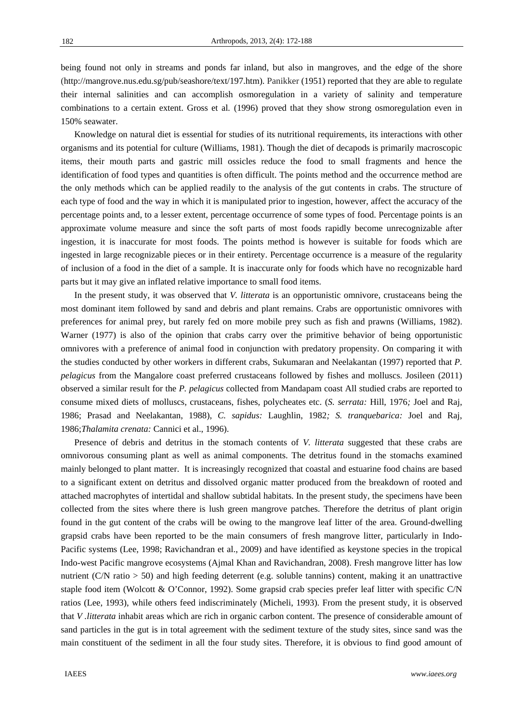being found not only in streams and ponds far inland, but also in mangroves, and the edge of the shore (http://mangrove.nus.edu.sg/pub/seashore/text/197.htm). Panikker (1951) reported that they are able to regulate their internal salinities and can accomplish osmoregulation in a variety of salinity and temperature combinations to a certain extent. Gross et al*.* (1996) proved that they show strong osmoregulation even in 150% seawater.

Knowledge on natural diet is essential for studies of its nutritional requirements, its interactions with other organisms and its potential for culture (Williams, 1981). Though the diet of decapods is primarily macroscopic items, their mouth parts and gastric mill ossicles reduce the food to small fragments and hence the identification of food types and quantities is often difficult. The points method and the occurrence method are the only methods which can be applied readily to the analysis of the gut contents in crabs. The structure of each type of food and the way in which it is manipulated prior to ingestion, however, affect the accuracy of the percentage points and, to a lesser extent, percentage occurrence of some types of food. Percentage points is an approximate volume measure and since the soft parts of most foods rapidly become unrecognizable after ingestion, it is inaccurate for most foods. The points method is however is suitable for foods which are ingested in large recognizable pieces or in their entirety. Percentage occurrence is a measure of the regularity of inclusion of a food in the diet of a sample. It is inaccurate only for foods which have no recognizable hard parts but it may give an inflated relative importance to small food items.

In the present study, it was observed that *V. litterata* is an opportunistic omnivore, crustaceans being the most dominant item followed by sand and debris and plant remains. Crabs are opportunistic omnivores with preferences for animal prey, but rarely fed on more mobile prey such as fish and prawns (Williams, 1982). Warner (1977) is also of the opinion that crabs carry over the primitive behavior of being opportunistic omnivores with a preference of animal food in conjunction with predatory propensity. On comparing it with the studies conducted by other workers in different crabs, Sukumaran and Neelakantan (1997) reported that *P. pelagicus* from the Mangalore coast preferred crustaceans followed by fishes and molluscs. Josileen (2011) observed a similar result for the *P. pelagicus* collected from Mandapam coast All studied crabs are reported to consume mixed diets of molluscs, crustaceans, fishes, polycheates etc. (*S. serrata:* Hill, 1976*;* Joel and Raj, 1986; Prasad and Neelakantan, 1988), *C. sapidus:* Laughlin, 1982*; S. tranquebarica:* Joel and Raj, 1986;*Thalamita crenata:* Cannici et al., 1996).

Presence of debris and detritus in the stomach contents of *V. litterata* suggested that these crabs are omnivorous consuming plant as well as animal components. The detritus found in the stomachs examined mainly belonged to plant matter. It is increasingly recognized that coastal and estuarine food chains are based to a significant extent on detritus and dissolved organic matter produced from the breakdown of rooted and attached macrophytes of intertidal and shallow subtidal habitats. In the present study, the specimens have been collected from the sites where there is lush green mangrove patches. Therefore the detritus of plant origin found in the gut content of the crabs will be owing to the mangrove leaf litter of the area. Ground-dwelling grapsid crabs have been reported to be the main consumers of fresh mangrove litter, particularly in Indo-Pacific systems (Lee, 1998; Ravichandran et al., 2009) and have identified as keystone species in the tropical Indo-west Pacific mangrove ecosystems (Ajmal Khan and Ravichandran, 2008). Fresh mangrove litter has low nutrient (C/N ratio > 50) and high feeding deterrent (e.g. soluble tannins) content, making it an unattractive staple food item (Wolcott & O'Connor, 1992). Some grapsid crab species prefer leaf litter with specific C/N ratios (Lee, 1993), while others feed indiscriminately (Micheli, 1993). From the present study, it is observed that *V .litterata* inhabit areas which are rich in organic carbon content. The presence of considerable amount of sand particles in the gut is in total agreement with the sediment texture of the study sites, since sand was the main constituent of the sediment in all the four study sites. Therefore, it is obvious to find good amount of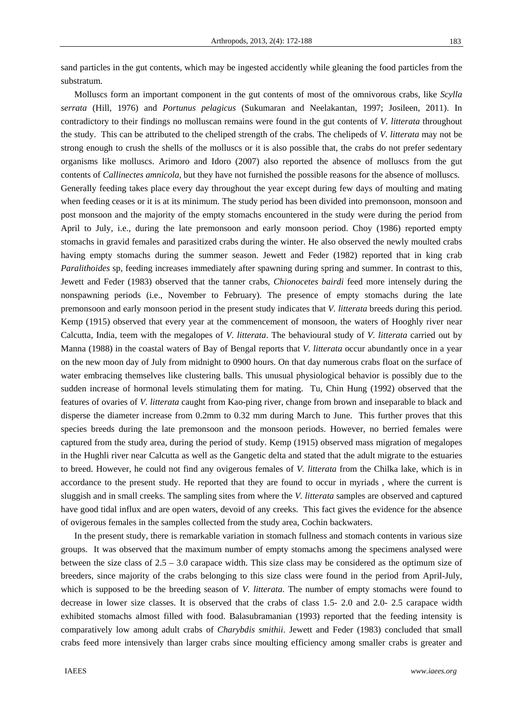sand particles in the gut contents, which may be ingested accidently while gleaning the food particles from the substratum.

Molluscs form an important component in the gut contents of most of the omnivorous crabs, like *Scylla serrata* (Hill, 1976) and *Portunus pelagicus* (Sukumaran and Neelakantan, 1997; Josileen, 2011). In contradictory to their findings no molluscan remains were found in the gut contents of *V. litterata* throughout the study. This can be attributed to the cheliped strength of the crabs. The chelipeds of *V. litterata* may not be strong enough to crush the shells of the molluscs or it is also possible that, the crabs do not prefer sedentary organisms like molluscs. Arimoro and Idoro (2007) also reported the absence of molluscs from the gut contents of *Callinectes amnicola,* but they have not furnished the possible reasons for the absence of molluscs. Generally feeding takes place every day throughout the year except during few days of moulting and mating when feeding ceases or it is at its minimum. The study period has been divided into premonsoon, monsoon and post monsoon and the majority of the empty stomachs encountered in the study were during the period from April to July, i.e., during the late premonsoon and early monsoon period. Choy (1986) reported empty stomachs in gravid females and parasitized crabs during the winter. He also observed the newly moulted crabs having empty stomachs during the summer season. Jewett and Feder (1982) reported that in king crab *Paralithoides* sp, feeding increases immediately after spawning during spring and summer. In contrast to this, Jewett and Feder (1983) observed that the tanner crabs*, Chionocetes bairdi* feed more intensely during the nonspawning periods (i.e., November to February). The presence of empty stomachs during the late premonsoon and early monsoon period in the present study indicates that *V. litterata* breeds during this period. Kemp (1915) observed that every year at the commencement of monsoon, the waters of Hooghly river near Calcutta, India, teem with the megalopes of *V. litterata*. The behavioural study of *V. litterata* carried out by Manna (1988) in the coastal waters of Bay of Bengal reports that *V. litterata* occur abundantly once in a year on the new moon day of July from midnight to 0900 hours. On that day numerous crabs float on the surface of water embracing themselves like clustering balls. This unusual physiological behavior is possibly due to the sudden increase of hormonal levels stimulating them for mating. Tu, Chin Hung (1992) observed that the features of ovaries of *V. litterata* caught from Kao-ping river, change from brown and inseparable to black and disperse the diameter increase from 0.2mm to 0.32 mm during March to June. This further proves that this species breeds during the late premonsoon and the monsoon periods. However, no berried females were captured from the study area, during the period of study. Kemp (1915) observed mass migration of megalopes in the Hughli river near Calcutta as well as the Gangetic delta and stated that the adult migrate to the estuaries to breed. However, he could not find any ovigerous females of *V. litterata* from the Chilka lake, which is in accordance to the present study. He reported that they are found to occur in myriads , where the current is sluggish and in small creeks. The sampling sites from where the *V. litterata* samples are observed and captured have good tidal influx and are open waters, devoid of any creeks. This fact gives the evidence for the absence of ovigerous females in the samples collected from the study area, Cochin backwaters.

In the present study, there is remarkable variation in stomach fullness and stomach contents in various size groups. It was observed that the maximum number of empty stomachs among the specimens analysed were between the size class of  $2.5 - 3.0$  carapace width. This size class may be considered as the optimum size of breeders, since majority of the crabs belonging to this size class were found in the period from April-July, which is supposed to be the breeding season of *V. litterata*. The number of empty stomachs were found to decrease in lower size classes. It is observed that the crabs of class 1.5- 2.0 and 2.0- 2.5 carapace width exhibited stomachs almost filled with food. Balasubramanian (1993) reported that the feeding intensity is comparatively low among adult crabs of *Charybdis smithii*. Jewett and Feder (1983) concluded that small crabs feed more intensively than larger crabs since moulting efficiency among smaller crabs is greater and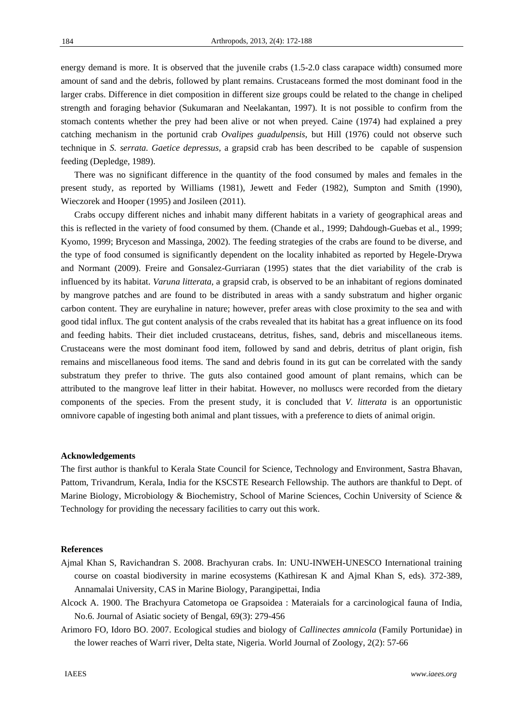energy demand is more. It is observed that the juvenile crabs (1.5-2.0 class carapace width) consumed more amount of sand and the debris, followed by plant remains. Crustaceans formed the most dominant food in the larger crabs. Difference in diet composition in different size groups could be related to the change in cheliped strength and foraging behavior (Sukumaran and Neelakantan, 1997). It is not possible to confirm from the stomach contents whether the prey had been alive or not when preyed. Caine (1974) had explained a prey

catching mechanism in the portunid crab *Ovalipes guadulpensis*, but Hill (1976) could not observe such technique in *S. serrata. Gaetice depressus,* a grapsid crab has been described to be capable of suspension feeding (Depledge, 1989).

There was no significant difference in the quantity of the food consumed by males and females in the present study, as reported by Williams (1981), Jewett and Feder (1982), Sumpton and Smith (1990), Wieczorek and Hooper (1995) and Josileen (2011).

Crabs occupy different niches and inhabit many different habitats in a variety of geographical areas and this is reflected in the variety of food consumed by them. (Chande et al., 1999; Dahdough-Guebas et al., 1999; Kyomo, 1999; Bryceson and Massinga, 2002). The feeding strategies of the crabs are found to be diverse, and the type of food consumed is significantly dependent on the locality inhabited as reported by Hegele-Drywa and Normant (2009). Freire and Gonsalez-Gurriaran (1995) states that the diet variability of the crab is influenced by its habitat. *Varuna litterata*, a grapsid crab, is observed to be an inhabitant of regions dominated by mangrove patches and are found to be distributed in areas with a sandy substratum and higher organic carbon content. They are euryhaline in nature; however, prefer areas with close proximity to the sea and with good tidal influx. The gut content analysis of the crabs revealed that its habitat has a great influence on its food and feeding habits. Their diet included crustaceans, detritus, fishes, sand, debris and miscellaneous items. Crustaceans were the most dominant food item, followed by sand and debris, detritus of plant origin, fish remains and miscellaneous food items. The sand and debris found in its gut can be correlated with the sandy substratum they prefer to thrive. The guts also contained good amount of plant remains, which can be attributed to the mangrove leaf litter in their habitat. However, no molluscs were recorded from the dietary components of the species. From the present study, it is concluded that *V. litterata* is an opportunistic omnivore capable of ingesting both animal and plant tissues, with a preference to diets of animal origin.

# **Acknowledgements**

The first author is thankful to Kerala State Council for Science, Technology and Environment, Sastra Bhavan, Pattom, Trivandrum, Kerala, India for the KSCSTE Research Fellowship. The authors are thankful to Dept. of Marine Biology, Microbiology & Biochemistry, School of Marine Sciences, Cochin University of Science & Technology for providing the necessary facilities to carry out this work.

## **References**

- Ajmal Khan S, Ravichandran S. 2008. Brachyuran crabs. In: UNU-INWEH-UNESCO International training course on coastal biodiversity in marine ecosystems (Kathiresan K and Ajmal Khan S, eds). 372-389, Annamalai University, CAS in Marine Biology, Parangipettai, India
- Alcock A. 1900. The Brachyura Catometopa oe Grapsoidea : Materaials for a carcinological fauna of India, No.6. Journal of Asiatic society of Bengal, 69(3): 279-456
- Arimoro FO, Idoro BO. 2007. Ecological studies and biology of *Callinectes amnicola* (Family Portunidae) in the lower reaches of Warri river, Delta state, Nigeria. World Journal of Zoology, 2(2): 57-66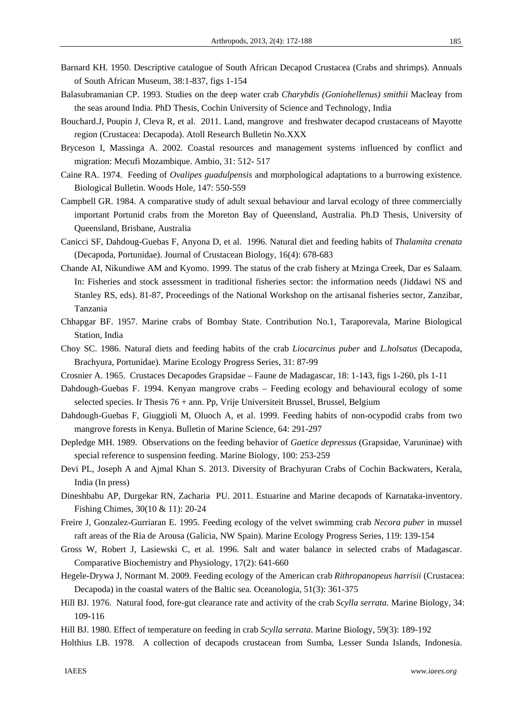- Barnard KH. 1950. Descriptive catalogue of South African Decapod Crustacea (Crabs and shrimps). Annuals of South African Museum, 38:1-837, figs 1-154
- Balasubramanian CP. 1993. Studies on the deep water crab *Charybdis (Goniohellenus) smithii* Macleay from the seas around India. PhD Thesis, Cochin University of Science and Technology, India
- Bouchard.J, Poupin J, Cleva R, et al. 2011. Land, mangrove and freshwater decapod crustaceans of Mayotte region (Crustacea: Decapoda). Atoll Research Bulletin No.XXX
- Bryceson I, Massinga A. 2002. Coastal resources and management systems influenced by conflict and migration: Mecufi Mozambique. Ambio, 31: 512- 517
- Caine RA. 1974. Feeding of *Ovalipes guadulpensis* and morphological adaptations to a burrowing existence. Biological Bulletin. Woods Hole, 147: 550-559
- Campbell GR. 1984. A comparative study of adult sexual behaviour and larval ecology of three commercially important Portunid crabs from the Moreton Bay of Queensland, Australia. Ph.D Thesis, University of Queensland, Brisbane, Australia
- Canicci SF, Dahdoug-Guebas F, Anyona D, et al. 1996. Natural diet and feeding habits of *Thalamita crenata* (Decapoda, Portunidae). Journal of Crustacean Biology, 16(4): 678-683
- Chande AI, Nikundiwe AM and Kyomo. 1999. The status of the crab fishery at Mzinga Creek, Dar es Salaam. In: Fisheries and stock assessment in traditional fisheries sector: the information needs (Jiddawi NS and Stanley RS, eds). 81-87, Proceedings of the National Workshop on the artisanal fisheries sector, Zanzibar, Tanzania
- Chhapgar BF. 1957. Marine crabs of Bombay State. Contribution No.1, Taraporevala, Marine Biological Station, India
- Choy SC. 1986. Natural diets and feeding habits of the crab *Liocarcinus puber* and *L.holsatus* (Decapoda, Brachyura, Portunidae). Marine Ecology Progress Series, 31: 87-99
- Crosnier A. 1965. Crustaces Decapodes Grapsidae Faune de Madagascar, 18: 1-143, figs 1-260, pls 1-11
- Dahdough-Guebas F. 1994. Kenyan mangrove crabs Feeding ecology and behavioural ecology of some selected species. Ir Thesis 76 + ann. Pp, Vrije Universiteit Brussel, Brussel, Belgium
- Dahdough-Guebas F, Giuggioli M, Oluoch A, et al. 1999. Feeding habits of non-ocypodid crabs from two mangrove forests in Kenya. Bulletin of Marine Science, 64: 291-297
- Depledge MH. 1989. Observations on the feeding behavior of *Gaetice depressus* (Grapsidae, Varuninae) with special reference to suspension feeding. Marine Biology, 100: 253-259
- Devi PL, Joseph A and Ajmal Khan S. 2013. Diversity of Brachyuran Crabs of Cochin Backwaters, Kerala, India (In press)
- Dineshbabu AP, Durgekar RN, Zacharia PU. 2011. Estuarine and Marine decapods of Karnataka-inventory. Fishing Chimes, 30(10 & 11): 20-24
- Freire J, Gonzalez-Gurriaran E. 1995. Feeding ecology of the velvet swimming crab *Necora puber* in mussel raft areas of the Ria de Arousa (Galicia, NW Spain). Marine Ecology Progress Series, 119: 139-154
- Gross W, Robert J, Lasiewski C, et al. 1996. Salt and water balance in selected crabs of Madagascar. Comparative Biochemistry and Physiology, 17(2): 641-660
- Hegele-Drywa J, Normant M. 2009. Feeding ecology of the American crab *Rithropanopeus harrisii* (Crustacea: Decapoda) in the coastal waters of the Baltic sea. Oceanologia, 51(3): 361-375
- Hill BJ. 1976. Natural food, fore-gut clearance rate and activity of the crab *Scylla serrata*. Marine Biology, 34: 109-116
- Hill BJ. 1980. Effect of temperature on feeding in crab *Scylla serrata*. Marine Biology, 59(3): 189-192
- Holthius LB. 1978. A collection of decapods crustacean from Sumba, Lesser Sunda Islands, Indonesia.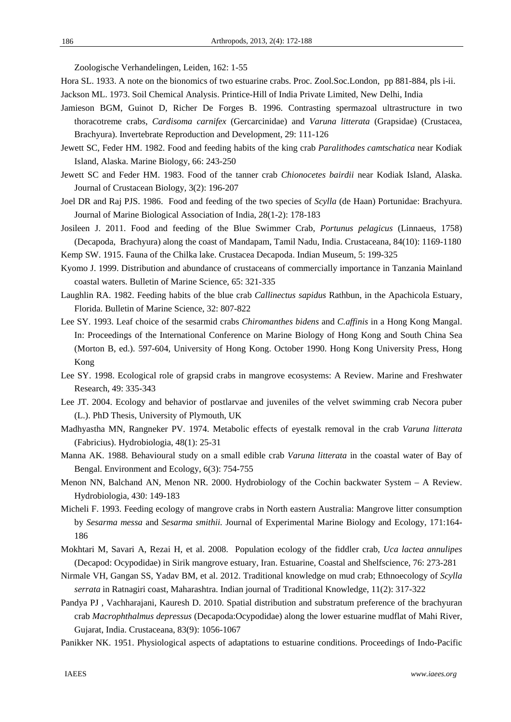Zoologische Verhandelingen, Leiden, 162: 1-55

- Hora SL. 1933. A note on the bionomics of two estuarine crabs. Proc. Zool.Soc.London, pp 881-884, pls i-ii.
- Jackson ML. 1973. Soil Chemical Analysis. Printice-Hill of India Private Limited, New Delhi, India
- Jamieson BGM, Guinot D, Richer De Forges B. 1996. Contrasting spermazoal ultrastructure in two thoracotreme crabs, *Cardisoma carnifex* (Gercarcinidae) and *Varuna litterata* (Grapsidae) (Crustacea, Brachyura). Invertebrate Reproduction and Development, 29: 111-126
- Jewett SC, Feder HM. 1982. Food and feeding habits of the king crab *Paralithodes camtschatica* near Kodiak Island, Alaska. Marine Biology, 66: 243-250
- Jewett SC and Feder HM. 1983. Food of the tanner crab *Chionocetes bairdii* near Kodiak Island, Alaska. Journal of Crustacean Biology, 3(2): 196-207
- Joel DR and Raj PJS. 1986. Food and feeding of the two species of *Scylla* (de Haan) Portunidae: Brachyura. Journal of Marine Biological Association of India, 28(1-2): 178-183
- Josileen J. 2011. Food and feeding of the Blue Swimmer Crab, *Portunus pelagicus* (Linnaeus, 1758) (Decapoda, Brachyura) along the coast of Mandapam, Tamil Nadu, India. Crustaceana, 84(10): 1169-1180
- Kemp SW. 1915. Fauna of the Chilka lake. Crustacea Decapoda. Indian Museum, 5: 199-325
- Kyomo J. 1999. Distribution and abundance of crustaceans of commercially importance in Tanzania Mainland coastal waters. Bulletin of Marine Science, 65: 321-335
- Laughlin RA. 1982. Feeding habits of the blue crab *Callinectus sapidus* Rathbun, in the Apachicola Estuary, Florida. Bulletin of Marine Science, 32: 807-822
- Lee SY. 1993. Leaf choice of the sesarmid crabs *Chiromanthes bidens* and *C.affinis* in a Hong Kong Mangal. In: Proceedings of the International Conference on Marine Biology of Hong Kong and South China Sea (Morton B, ed.). 597-604, University of Hong Kong. October 1990. Hong Kong University Press, Hong Kong
- Lee SY. 1998. Ecological role of grapsid crabs in mangrove ecosystems: A Review. Marine and Freshwater Research, 49: 335-343
- Lee JT. 2004. Ecology and behavior of postlarvae and juveniles of the velvet swimming crab Necora puber (L.). PhD Thesis, University of Plymouth, UK
- Madhyastha MN, Rangneker PV. 1974. Metabolic effects of eyestalk removal in the crab *Varuna litterata* (Fabricius). Hydrobiologia, 48(1): 25-31
- Manna AK. 1988. Behavioural study on a small edible crab *Varuna litterata* in the coastal water of Bay of Bengal. Environment and Ecology, 6(3): 754-755
- Menon NN, Balchand AN, Menon NR. 2000. Hydrobiology of the Cochin backwater System A Review. Hydrobiologia, 430: 149-183
- Micheli F. 1993. Feeding ecology of mangrove crabs in North eastern Australia: Mangrove litter consumption by *Sesarma messa* and *Sesarma smithii.* Journal of Experimental Marine Biology and Ecology, 171:164- 186
- Mokhtari M, Savari A, Rezai H, et al. 2008. Population ecology of the fiddler crab, *Uca lactea annulipes*  (Decapod: Ocypodidae) in Sirik mangrove estuary, Iran. Estuarine, Coastal and Shelfscience, 76: 273-281
- Nirmale VH, Gangan SS, Yadav BM, et al. 2012. Traditional knowledge on mud crab; Ethnoecology of *Scylla serrata* in Ratnagiri coast, Maharashtra. Indian journal of Traditional Knowledge, 11(2): 317-322
- Pandya PJ , Vachharajani, Kauresh D. 2010. Spatial distribution and substratum preference of the brachyuran crab *Macrophthalmus depressus* (Decapoda:Ocypodidae) along the lower estuarine mudflat of Mahi River, Gujarat, India. Crustaceana, 83(9): 1056-1067
- Panikker NK. 1951. Physiological aspects of adaptations to estuarine conditions. Proceedings of Indo-Pacific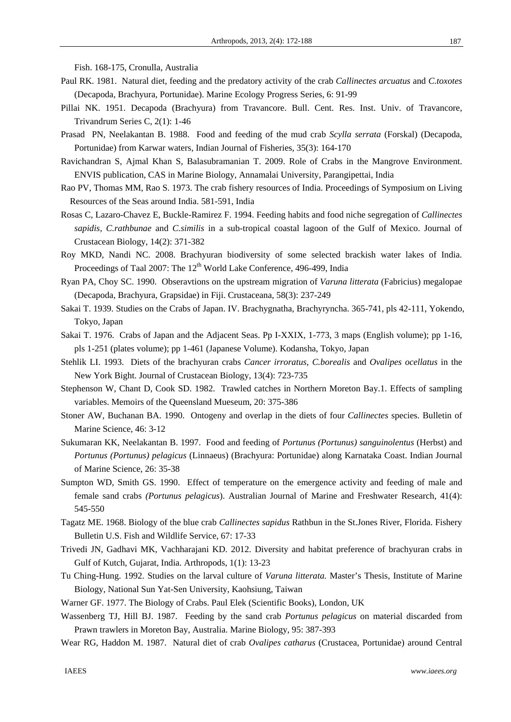Fish. 168-175, Cronulla, Australia

- Paul RK. 1981. Natural diet, feeding and the predatory activity of the crab *Callinectes arcuatus* and *C.toxotes* (Decapoda, Brachyura, Portunidae). Marine Ecology Progress Series, 6: 91-99
- Pillai NK. 1951. Decapoda (Brachyura) from Travancore. Bull. Cent. Res. Inst. Univ. of Travancore, Trivandrum Series C, 2(1): 1-46
- Prasad PN, Neelakantan B. 1988. Food and feeding of the mud crab *Scylla serrata* (Forskal) (Decapoda, Portunidae) from Karwar waters, Indian Journal of Fisheries, 35(3): 164-170
- Ravichandran S, Ajmal Khan S, Balasubramanian T. 2009. Role of Crabs in the Mangrove Environment. ENVIS publication, CAS in Marine Biology, Annamalai University, Parangipettai, India
- Rao PV, Thomas MM, Rao S. 1973. The crab fishery resources of India. Proceedings of Symposium on Living Resources of the Seas around India. 581-591, India
- Rosas C, Lazaro-Chavez E, Buckle-Ramirez F. 1994. Feeding habits and food niche segregation of *Callinectes sapidis, C.rathbunae* and *C.similis* in a sub-tropical coastal lagoon of the Gulf of Mexico. Journal of Crustacean Biology, 14(2): 371-382
- Roy MKD, Nandi NC. 2008. Brachyuran biodiversity of some selected brackish water lakes of India. Proceedings of Taal 2007: The 12<sup>th</sup> World Lake Conference, 496-499, India
- Ryan PA, Choy SC. 1990. Obseravtions on the upstream migration of *Varuna litterata* (Fabricius) megalopae (Decapoda, Brachyura, Grapsidae) in Fiji. Crustaceana, 58(3): 237-249
- Sakai T. 1939. Studies on the Crabs of Japan. IV. Brachygnatha, Brachyryncha. 365-741, pls 42-111, Yokendo, Tokyo, Japan
- Sakai T. 1976. Crabs of Japan and the Adjacent Seas. Pp I-XXIX, 1-773, 3 maps (English volume); pp 1-16, pls 1-251 (plates volume); pp 1-461 (Japanese Volume). Kodansha, Tokyo, Japan
- Stehlik LI. 1993. Diets of the brachyuran crabs *Cancer irroratus*, *C.borealis* and *Ovalipes ocellatus* in the New York Bight. Journal of Crustacean Biology, 13(4): 723-735
- Stephenson W, Chant D, Cook SD. 1982. Trawled catches in Northern Moreton Bay.1. Effects of sampling variables. Memoirs of the Queensland Mueseum, 20: 375-386
- Stoner AW, Buchanan BA. 1990. Ontogeny and overlap in the diets of four *Callinectes* species. Bulletin of Marine Science, 46: 3-12
- Sukumaran KK, Neelakantan B. 1997. Food and feeding of *Portunus (Portunus) sanguinolentus* (Herbst) and *Portunus (Portunus) pelagicus* (Linnaeus) (Brachyura: Portunidae) along Karnataka Coast. Indian Journal of Marine Science, 26: 35-38
- Sumpton WD, Smith GS. 1990. Effect of temperature on the emergence activity and feeding of male and female sand crabs *(Portunus pelagicus*). Australian Journal of Marine and Freshwater Research, 41(4): 545-550
- Tagatz ME. 1968. Biology of the blue crab *Callinectes sapidus* Rathbun in the St.Jones River, Florida. Fishery Bulletin U.S. Fish and Wildlife Service, 67: 17-33
- Trivedi JN, Gadhavi MK, Vachharajani KD. 2012. Diversity and habitat preference of brachyuran crabs in Gulf of Kutch, Gujarat, India. Arthropods, 1(1): 13-23
- Tu Ching-Hung. 1992. Studies on the larval culture of *Varuna litterata.* Master's Thesis, Institute of Marine Biology, National Sun Yat-Sen University, Kaohsiung, Taiwan
- Warner GF. 1977. The Biology of Crabs. Paul Elek (Scientific Books), London, UK
- Wassenberg TJ, Hill BJ. 1987. Feeding by the sand crab *Portunus pelagicus* on material discarded from Prawn trawlers in Moreton Bay, Australia. Marine Biology, 95: 387-393
- Wear RG, Haddon M. 1987. Natural diet of crab *Ovalipes catharus* (Crustacea, Portunidae) around Central